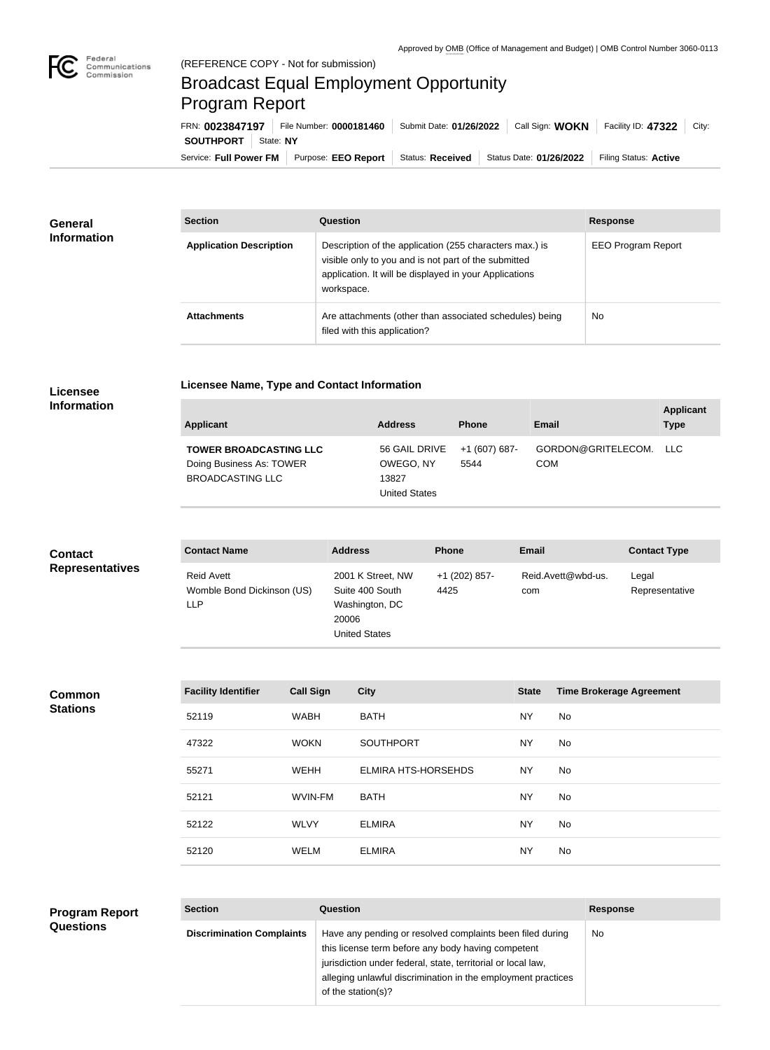

## Broadcast Equal Employment Opportunity Program Report

**Licensee Name, Type and Contact Information**

Service: Full Power FM Purpose: EEO Report | Status: Received | Status Date: 01/26/2022 | Filing Status: Active **SOUTHPORT** State: NY FRN: **0023847197** File Number: **0000181460** Submit Date: **01/26/2022** Call Sign: **WOKN** Facility ID: **47322** City:

| <b>General</b><br><b>Information</b> | <b>Section</b>                 | <b>Question</b>                                                                                                                                                                         | <b>Response</b>           |
|--------------------------------------|--------------------------------|-----------------------------------------------------------------------------------------------------------------------------------------------------------------------------------------|---------------------------|
|                                      | <b>Application Description</b> | Description of the application (255 characters max.) is<br>visible only to you and is not part of the submitted<br>application. It will be displayed in your Applications<br>workspace. | <b>EEO Program Report</b> |
|                                      | <b>Attachments</b>             | Are attachments (other than associated schedules) being<br>filed with this application?                                                                                                 | No                        |

## **Licensee Information**

| Applicant                                                                            | <b>Address</b>                                              | <b>Phone</b>          | Email                                | <b>Applicant</b><br><b>Type</b> |
|--------------------------------------------------------------------------------------|-------------------------------------------------------------|-----------------------|--------------------------------------|---------------------------------|
| <b>TOWER BROADCASTING LLC</b><br>Doing Business As: TOWER<br><b>BROADCASTING LLC</b> | 56 GAIL DRIVE<br>OWEGO, NY<br>13827<br><b>United States</b> | +1 (607) 687-<br>5544 | GORDON@GRITELECOM. LLC<br><b>COM</b> |                                 |

| <b>Contact</b>         | <b>Contact Name</b>                                           | <b>Address</b>                                                                          | <b>Phone</b>          | <b>Email</b>              | <b>Contact Type</b>     |
|------------------------|---------------------------------------------------------------|-----------------------------------------------------------------------------------------|-----------------------|---------------------------|-------------------------|
| <b>Representatives</b> | <b>Reid Avett</b><br>Womble Bond Dickinson (US)<br><b>LLP</b> | 2001 K Street, NW<br>Suite 400 South<br>Washington, DC<br>20006<br><b>United States</b> | +1 (202) 857-<br>4425 | Reid.Avett@wbd-us.<br>com | Legal<br>Representative |

## **Common Stations**

| <b>Facility Identifier</b> | <b>Call Sign</b> | <b>City</b>                | <b>State</b> | <b>Time Brokerage Agreement</b> |
|----------------------------|------------------|----------------------------|--------------|---------------------------------|
| 52119                      | <b>WABH</b>      | <b>BATH</b>                | <b>NY</b>    | No                              |
| 47322                      | <b>WOKN</b>      | <b>SOUTHPORT</b>           | <b>NY</b>    | No.                             |
| 55271                      | <b>WEHH</b>      | <b>ELMIRA HTS-HORSEHDS</b> | <b>NY</b>    | No                              |
| 52121                      | WVIN-FM          | <b>BATH</b>                | <b>NY</b>    | No.                             |
| 52122                      | <b>WLVY</b>      | <b>ELMIRA</b>              | <b>NY</b>    | No                              |
| 52120                      | WELM             | <b>ELMIRA</b>              | <b>NY</b>    | No.                             |

| <b>Program Report</b> | <b>Section</b>                   | Question                                                                                                                                                                                                                                                              | <b>Response</b> |
|-----------------------|----------------------------------|-----------------------------------------------------------------------------------------------------------------------------------------------------------------------------------------------------------------------------------------------------------------------|-----------------|
| <b>Questions</b>      | <b>Discrimination Complaints</b> | Have any pending or resolved complaints been filed during<br>this license term before any body having competent<br>jurisdiction under federal, state, territorial or local law,<br>alleging unlawful discrimination in the employment practices<br>of the station(s)? | <b>No</b>       |